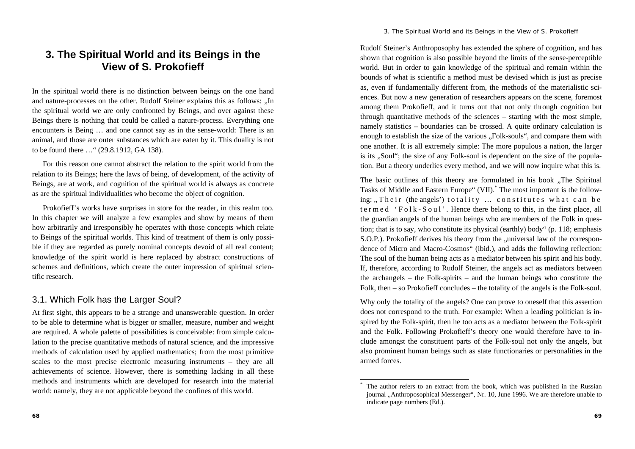#### *3. The Spiritual World and its Beings in the View of S. Prokofieff*

# **3. The Spiritual World and its Beings in the View of S. Prokofieff**

In the spiritual world there is no distinction between beings on the one hand and nature-processes on the other. Rudolf Steiner explains this as follows: "In the spiritual world we are only confronted by Beings, and over against these Beings there is nothing that could be called a nature-process. Everything one encounters is Being … and one cannot say as in the sense-world: There is an animal, and those are outer substances which are eaten by it. This duality is not to be found there …" (29.8.1912, GA 138).

For this reason one cannot abstract the relation to the spirit world from the relation to its Beings; here the laws of being, of development, of the activity of Beings, are at work, and cognition of the spiritual world is always as concrete as are the spiritual individualities who become the object of cognition.

Prokofieff's works have surprises in store for the reader, in this realm too. In this chapter we will analyze a few examples and show by means of them how arbitrarily and irresponsibly he operates with those concepts which relate to Beings of the spiritual worlds. This kind of treatment of them is only possible if they are regarded as purely nominal concepts devoid of all real content; knowledge of the spirit world is here replaced by abstract constructions of schemes and definitions, which create the outer impression of spiritual scientific research.

#### 3.1. Which Folk has the Larger Soul?

At first sight, this appears to be a strange and unanswerable question. In order to be able to determine what is bigger or smaller, measure, number and weight are required. A whole palette of possibilities is conceivable: from simple calculation to the precise quantitative methods of natural science, and the impressive methods of calculation used by applied mathematics; from the most primitive scales to the most precise electronic measuring instruments – they are all achievements of science. However, there is something lacking in all these methods and instruments which are developed for research into the material world: namely, they are not applicable beyond the confines of this world.

Rudolf Steiner's Anthroposophy has extended the sphere of cognition, and has shown that cognition is also possible beyond the limits of the sense-perceptible world. But in order to gain knowledge of the spiritual and remain within the bounds of what is scientific a method must be devised which is just as precise as, even if fundamentally different from, the methods of the materialistic sciences. But now a new generation of researchers appears on the scene, foremost among them Prokofieff, and it turns out that not only through cognition but through quantitative methods of the sciences – starting with the most simple, namely statistics – boundaries can be crossed. A quite ordinary calculation is enough to establish the size of the various "Folk-souls", and compare them with one another. It is all extremely simple: The more populous a nation, the larger is its "Soul"; the size of any Folk-soul is dependent on the size of the population. But a theory underlies every method, and we will now inquire what this is.

The basic outlines of this theory are formulated in his book .The Spiritual Tasks of Middle and Eastern Europe" (VII).\* The most important is the following: "Their (the angels') totality ... constitutes what can be termed 'Folk-Soul'. Hence there belong to this, in the first place, all the guardian angels of the human beings who are members of the Folk in question; that is to say, who constitute its physical (earthly) body" (p. 118; emphasis S.O.P.). Prokofieff derives his theory from the "universal law of the correspondence of Micro and Macro-Cosmos" (ibid.), and adds the following reflection: The soul of the human being acts as a mediator between his spirit and his body. If, therefore, according to Rudolf Steiner, the angels act as mediators between the archangels – the Folk-spirits – and the human beings who constitute the Folk, then – so Prokofieff concludes – the totality of the angels is the Folk-soul.

Why only the totality of the angels? One can prove to oneself that this assertion does not correspond to the truth. For example: When a leading politician is inspired by the Folk-spirit, then he too acts as a mediator between the Folk-spirit and the Folk. Following Prokofieff's theory one would therefore have to include amongst the constituent parts of the Folk-soul not only the angels, but also prominent human beings such as state functionaries or personalities in the armed forces.

The author refers to an extract from the book, which was published in the Russian journal "Anthroposophical Messenger", Nr. 10, June 1996. We are therefore unable to indicate page numbers (Ed.).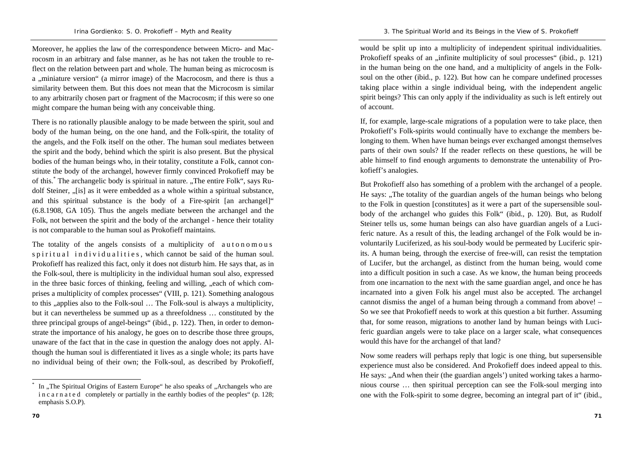Moreover, he applies the law of the correspondence between Micro- and Macrocosm in an arbitrary and false manner, as he has not taken the trouble to reflect on the relation between part and whole. The human being as microcosm is a ...miniature version " (a mirror image) of the Macrocosm, and there is thus a similarity between them. But this does not mean that the Microcosm is similar to any arbitrarily chosen part or fragment of the Macrocosm; if this were so one might compare the human being with any conceivable thing.

There is no rationally plausible analogy to be made between the spirit, soul and body of the human being, on the one hand, and the Folk-spirit, the totality of the angels, and the Folk itself on the other. The human soul mediates between the spirit and the body, behind which the spirit is also present. But the physical bodies of the human beings who, in their totality, constitute a Folk, cannot constitute the body of the archangel, however firmly convinced Prokofieff may be of this.<sup>\*</sup> The archangelic body is spiritual in nature. "The entire Folk", says Rudolf Steiner, "[is] as it were embedded as a whole within a spiritual substance, and this spiritual substance is the body of a Fire-spirit [an archangel]" (6.8.1908, GA 105). Thus the angels mediate between the archangel and the Folk, not between the spirit and the body of the archangel - hence their totality is not comparable to the human soul as Prokofieff maintains.

The totality of the angels consists of a multiplicity of autonomous s p i ritual individualities, which cannot be said of the human soul. Prokofieff has realized this fact, only it does not disturb him. He says that, as in the Folk-soul, there is multiplicity in the individual human soul also, expressed in the three basic forces of thinking, feeling and willing, "each of which comprises a multiplicity of complex processes" (VIII, p. 121). Something analogous to this "applies also to the Folk-soul … The Folk-soul is always a multiplicity, but it can nevertheless be summed up as a threefoldness … constituted by the three principal groups of angel-beings" (ibid., p. 122). Then, in order to demonstrate the importance of his analogy, he goes on to describe those three groups, unaware of the fact that in the case in question the analogy does not apply. Although the human soul is differentiated it lives as a single whole; its parts have no individual being of their own; the Folk-soul, as described by Prokofieff,

would be split up into a multiplicity of independent spiritual individualities. Prokofieff speaks of an "infinite multiplicity of soul processes" (ibid., p. 121) in the human being on the one hand, and a multiplicity of angels in the Folksoul on the other (ibid., p. 122). But how can he compare undefined processes taking place within a single individual being, with the independent angelic spirit beings? This can only apply if the individuality as such is left entirely out of account.

If, for example, large-scale migrations of a population were to take place, then Prokofieff's Folk-spirits would continually have to exchange the members belonging to them. When have human beings ever exchanged amongst themselves parts of their own souls? If the reader reflects on these questions, he will be able himself to find enough arguments to demonstrate the untenability of Prokofieff's analogies.

But Prokofieff also has something of a problem with the archangel of a people. He says: "The totality of the guardian angels of the human beings who belong to the Folk in question [constitutes] as it were a part of the supersensible soulbody of the archangel who guides this Folk" (ibid., p. 120). But, as Rudolf Steiner tells us, some human beings can also have guardian angels of a Luciferic nature. As a result of this, the leading archangel of the Folk would be involuntarily Luciferized, as his soul-body would be permeated by Luciferic spirits. A human being, through the exercise of free-will, can resist the temptation of Lucifer, but the archangel, as distinct from the human being, would come into a difficult position in such a case. As we know, the human being proceeds from one incarnation to the next with the same guardian angel, and once he has incarnated into a given Folk his angel must also be accepted. The archangel cannot dismiss the angel of a human being through a command from above! – So we see that Prokofieff needs to work at this question a bit further. Assuming that, for some reason, migrations to another land by human beings with Luciferic guardian angels were to take place on a larger scale, what consequences would this have for the archangel of that land?

Now some readers will perhaps reply that logic is one thing, but supersensible experience must also be considered. And Prokofieff does indeed appeal to this. He says: "And when their (the guardian angels') united working takes a harmonious course … then spiritual perception can see the Folk-soul merging into one with the Folk-spirit to some degree, becoming an integral part of it" (ibid.,

In "The Spiritual Origins of Eastern Europe" he also speaks of "Archangels who are in c a r n a t e d completely or partially in the earthly bodies of the peoples" (p. 128; emphasis S.O.P).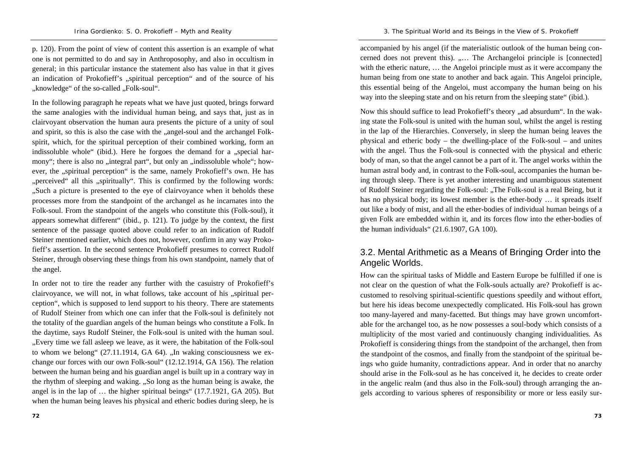p. 120). From the point of view of content this assertion is an example of what one is not permitted to do and say in Anthroposophy, and also in occultism in general; in this particular instance the statement also has value in that it gives an indication of Prokofieff's ..spiritual perception and of the source of his "knowledge" of the so-called "Folk-soul".

In the following paragraph he repeats what we have just quoted, brings forward the same analogies with the individual human being, and says that, just as in clairvoyant observation the human aura presents the picture of a unity of soul and spirit, so this is also the case with the "angel-soul and the archangel Folkspirit, which, for the spiritual perception of their combined working, form an indissoluble whole" (ibid.). Here he forgoes the demand for a "special harmony"; there is also no "integral part", but only an "indissoluble whole"; however, the ..spiritual perception is the same, namely Prokofieff's own. He has ""perceived" all this "spiritually". This is confirmed by the following words: "Such a picture is presented to the eye of clairvoyance when it beholds these processes more from the standpoint of the archangel as he incarnates into the Folk-soul. From the standpoint of the angels who constitute this (Folk-soul), it appears somewhat different" (ibid., p. 121). To judge by the context, the first sentence of the passage quoted above could refer to an indication of Rudolf Steiner mentioned earlier, which does not, however, confirm in any way Prokofieff's assertion. In the second sentence Prokofieff presumes to correct Rudolf Steiner, through observing these things from his own standpoint, namely that of the angel.

In order not to tire the reader any further with the casuistry of Prokofieff's clairvoyance, we will not, in what follows, take account of his "spiritual perception", which is supposed to lend support to his theory. There are statements of Rudolf Steiner from which one can infer that the Folk-soul is definitely not the totality of the guardian angels of the human beings who constitute a Folk. In the daytime, says Rudolf Steiner, the Folk-soul is united with the human soul. "Every time we fall asleep we leave, as it were, the habitation of the Folk-soul to whom we belong"  $(27.11.1914, GA 64)$ . "In waking consciousness we exchange our forces with our own Folk-soul" (12.12.1914, GA 156). The relation between the human being and his guardian angel is built up in a contrary way in the rhythm of sleeping and waking. "So long as the human being is awake, the angel is in the lap of … the higher spiritual beings" (17.7.1921, GA 205). But when the human being leaves his physical and etheric bodies during sleep, he is

accompanied by his angel (if the materialistic outlook of the human being concerned does not prevent this). ..... The Archangeloi principle is [connected] with the etheric nature, … the Angeloi principle must as it were accompany the human being from one state to another and back again. This Angeloi principle, this essential being of the Angeloi, must accompany the human being on his way into the sleeping state and on his return from the sleeping state" (ibid.).

Now this should suffice to lead Prokofieff's theory "ad absurdum". In the waking state the Folk-soul is united with the human soul, whilst the angel is resting in the lap of the Hierarchies. Conversely, in sleep the human being leaves the physical and etheric body – the dwelling-place of the Folk-soul – and unites with the angel. Thus the Folk-soul is connected with the physical and etheric body of man, so that the angel cannot be a part of it. The angel works within the human astral body and, in contrast to the Folk-soul, accompanies the human being through sleep. There is yet another interesting and unambiguous statement of Rudolf Steiner regarding the Folk-soul: "The Folk-soul is a real Being, but it has no physical body; its lowest member is the ether-body … it spreads itself out like a body of mist, and all the ether-bodies of individual human beings of a given Folk are embedded within it, and its forces flow into the ether-bodies of the human individuals" (21.6.1907, GA 100).

## 3.2. Mental Arithmetic as a Means of Bringing Order into the Angelic Worlds.

How can the spiritual tasks of Middle and Eastern Europe be fulfilled if one is not clear on the question of what the Folk-souls actually are? Prokofieff is accustomed to resolving spiritual-scientific questions speedily and without effort, but here his ideas become unexpectedly complicated. His Folk-soul has grown too many-layered and many-facetted. But things may have grown uncomfortable for the archangel too, as he now possesses a soul-body which consists of a multiplicity of the most varied and continuously changing individualities. As Prokofieff is considering things from the standpoint of the archangel, then from the standpoint of the cosmos, and finally from the standpoint of the spiritual beings who guide humanity, contradictions appear. And in order that no anarchy should arise in the Folk-soul as he has conceived it, he decides to create order in the angelic realm (and thus also in the Folk-soul) through arranging the angels according to various spheres of responsibility or more or less easily sur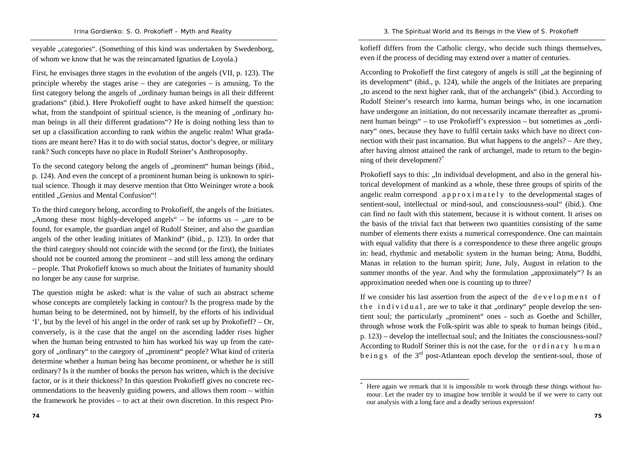veyable ..categories". (Something of this kind was undertaken by Swedenborg, of whom we know that he was the reincarnated Ignatius de Loyola.)

First, he envisages three stages in the evolution of the angels (VII, p. 123). The principle whereby the stages arise – they are categories – is amusing. To the first category belong the angels of "ordinary human beings in all their different gradations" (ibid.). Here Prokofieff ought to have asked himself the question: what, from the standpoint of spiritual science, is the meaning of "ordinary human beings in all their different gradations"? He is doing nothing less than to set up a classification according to rank within the angelic realm! What gradations are meant here? Has it to do with social status, doctor's degree, or military rank? Such concepts have no place in Rudolf Steiner's Anthroposophy.

To the second category belong the angels of "prominent" human beings (ibid., p. 124). And even the concept of a prominent human being is unknown to spiritual science. Though it may deserve mention that Otto Weininger wrote a book entitled "Genius and Mental Confusion"!

To the third category belong, according to Prokofieff, the angels of the Initiates. "Among these most highly-developed angels" – he informs us – "are to be" found, for example, the guardian angel of Rudolf Steiner, and also the guardian angels of the other leading initiates of Mankind" (ibid., p. 123). In order that the third category should not coincide with the second (or the first), the Initiates should not be counted among the prominent – and still less among the ordinary – people. That Prokofieff knows so much about the Initiates of humanity should no longer be any cause for surprise.

The question might be asked: what is the value of such an abstract scheme whose concepts are completely lacking in contour? Is the progress made by the human being to be determined, not by himself, by the efforts of his individual 'I', but by the level of his angel in the order of rank set up by Prokofieff? – Or, conversely, is it the case that the angel on the ascending ladder rises higher when the human being entrusted to him has worked his way up from the category of "ordinary" to the category of "prominent" people? What kind of criteria determine whether a human being has become prominent, or whether he is still ordinary? Is it the number of books the person has written, which is the decisive factor, or is it their thickness? In this question Prokofieff gives no concrete recommendations to the heavenly guiding powers, and allows them room – within the framework he provides – to act at their own discretion. In this respect Prokofieff differs from the Catholic clergy, who decide such things themselves, even if the process of deciding may extend over a matter of centuries.

According to Prokofieff the first category of angels is still "at the beginning of its development" (ibid., p. 124), while the angels of the Initiates are preparing "to ascend to the next higher rank, that of the archangels" (ibid.). According to Rudolf Steiner's research into karma, human beings who, in one incarnation have undergone an initiation, do not necessarily incarnate thereafter as "prominent human beings" – to use Prokofieff's expression – but sometimes as "ordinary" ones, because they have to fulfil certain tasks which have no direct connection with their past incarnation. But what happens to the angels? – Are they, after having almost attained the rank of archangel, made to return to the beginning of their development?\*

Prokofieff says to this: "In individual development, and also in the general historical development of mankind as a whole, these three groups of spirits of the angelic realm correspond  $a$  p  $p$  r  $\circ$  x i m a t e l y to the developmental stages of sentient-soul, intellectual or mind-soul, and consciousness-soul" (ibid.). One can find no fault with this statement, because it is without content. It arises on the basis of the trivial fact that between two quantities consisting of the same number of elements there exists a numerical correspondence. One can maintain with equal validity that there is a correspondence to these three angelic groups in: head, rhythmic and metabolic system in the human being; Atma, Buddhi, Manas in relation to the human spirit; June, July, August in relation to the summer months of the year. And why the formulation "approximately"? Is an approximation needed when one is counting up to three?

If we consider his last assertion from the aspect of the  $de$  v e l o p m e n t o f the individual, are we to take it that "ordinary" people develop the sentient soul; the particularly "prominent" ones - such as Goethe and Schiller, through whose work the Folk-spirit was able to speak to human beings (ibid., p. 123) – develop the intellectual soul; and the Initiates the consciousness-soul? According to Rudolf Steiner this is not the case, for the ordinary human  $b \sin g s$  of the 3<sup>rd</sup> post-Atlantean epoch develop the sentient-soul, those of

Here again we remark that it is impossible to work through these things without humour. Let the reader try to imagine how terrible it would be if we were to carry out our analysis with a long face and a deadly serious expression!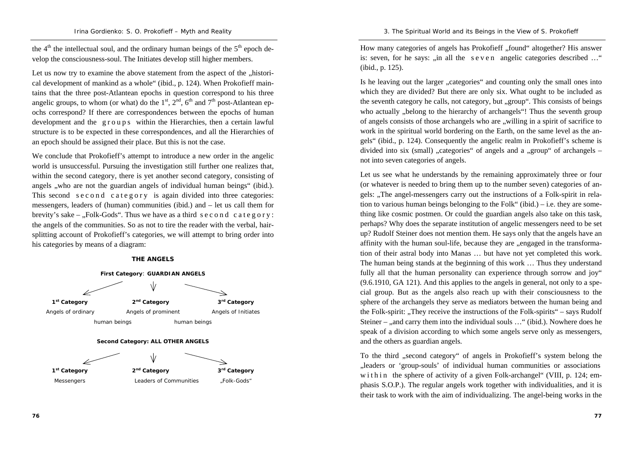the  $4<sup>th</sup>$  the intellectual soul, and the ordinary human beings of the  $5<sup>th</sup>$  epoch develop the consciousness-soul. The Initiates develop still higher members.

Let us now try to examine the above statement from the aspect of the "historical development of mankind as a whole" (ibid., p. 124). When Prokofieff maintains that the three post-Atlantean epochs in question correspond to his three angelic groups, to whom (or what) do the  $1<sup>st</sup>$ ,  $2<sup>nd</sup>$ ,  $6<sup>th</sup>$  and  $7<sup>th</sup>$  post-Atlantean epochs correspond? If there are correspondences between the epochs of human development and the groups within the Hierarchies, then a certain lawful structure is to be expected in these correspondences, and all the Hierarchies of an epoch should be assigned their place. But this is not the case.

We conclude that Prokofieff's attempt to introduce a new order in the angelic world is unsuccessful. Pursuing the investigation still further one realizes that, within the second category, there is yet another second category, consisting of angels , who are not the guardian angels of individual human beings" (ibid.). This second second category is again divided into three categories: messengers, leaders of (human) communities (ibid.) and – let us call them for brevity's sake – "Folk-Gods". Thus we have as a third second category: the angels of the communities. So as not to tire the reader with the verbal, hairsplitting account of Prokofieff's categories, we will attempt to bring order into his categories by means of a diagram:

#### **THE ANGELS**



How many categories of angels has Prokofieff ..found altogether? His answer is: seven, for he says:  $\sin$  all the seven angelic categories described ..." (ibid., p. 125).

Is he leaving out the larger "categories" and counting only the small ones into which they are divided? But there are only six. What ought to be included as the seventh category he calls, not category, but "group". This consists of beings who actually "belong to the hierarchy of archangels"! Thus the seventh group of angels consists of those archangels who are "willing in a spirit of sacrifice to work in the spiritual world bordering on the Earth, on the same level as the angels" (ibid., p. 124). Consequently the angelic realm in Prokofieff's scheme is divided into six (small) "categories" of angels and a "group" of archangels  $$ not into seven categories of angels.

Let us see what he understands by the remaining approximately three or four (or whatever is needed to bring them up to the number seven) categories of angels: "The angel-messengers carry out the instructions of a Folk-spirit in relation to various human beings belonging to the Folk" (ibid.) – i.e. they are something like cosmic postmen. Or could the guardian angels also take on this task, perhaps? Why does the separate institution of angelic messengers need to be set up? Rudolf Steiner does not mention them. He says only that the angels have an affinity with the human soul-life, because they are  $\alpha$  engaged in the transformation of their astral body into Manas … but have not yet completed this work. The human being stands at the beginning of this work … Thus they understand fully all that the human personality can experience through sorrow and joy" (9.6.1910, GA 121). And this applies to the angels in general, not only to a special group. But as the angels also reach up with their consciousness to the sphere of the archangels they serve as mediators between the human being and the Folk-spirit: "They receive the instructions of the Folk-spirits" – says Rudolf Steiner – ... and carry them into the individual souls  $\ldots$  " (ibid.). Nowhere does he speak of a division according to which some angels serve only as messengers, and the others as guardian angels.

To the third "second category" of angels in Prokofieff's system belong the "leaders or 'group-souls' of individual human communities or associations w i thin the sphere of activity of a given Folk-archangel" (VIII, p. 124; emphasis S.O.P.). The regular angels work together with individualities, and it is their task to work with the aim of individualizing. The angel-being works in the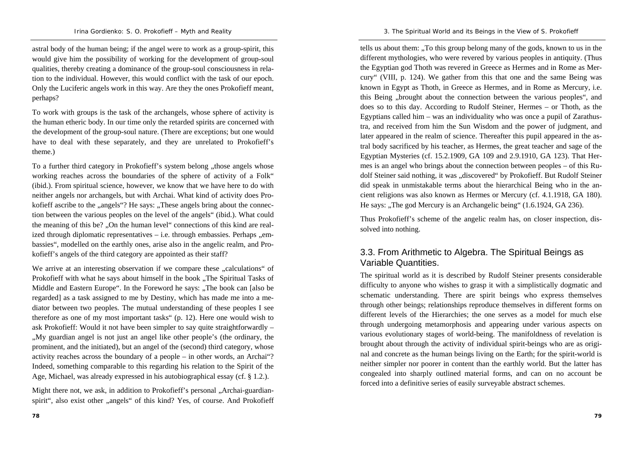astral body of the human being; if the angel were to work as a group-spirit, this would give him the possibility of working for the development of group-soul qualities, thereby creating a dominance of the group-soul consciousness in relation to the individual. However, this would conflict with the task of our epoch. Only the Luciferic angels work in this way. Are they the ones Prokofieff meant, perhaps?

To work with groups is the task of the archangels, whose sphere of activity is the human etheric body. In our time only the retarded spirits are concerned with the development of the group-soul nature. (There are exceptions; but one would have to deal with these separately, and they are unrelated to Prokofieff's theme.)

To a further third category in Prokofieff's system belong ..those angels whose working reaches across the boundaries of the sphere of activity of a Folk" (ibid.). From spiritual science, however, we know that we have here to do with neither angels nor archangels, but with Archai. What kind of activity does Prokofieff ascribe to the "angels"? He says: "These angels bring about the connection between the various peoples on the level of the angels" (ibid.). What could the meaning of this be? ..On the human level" connections of this kind are realized through diplomatic representatives  $-$  i.e. through embassies. Perhaps  $n$ embassies", modelled on the earthly ones, arise also in the angelic realm, and Prokofieff's angels of the third category are appointed as their staff?

We arrive at an interesting observation if we compare these "calculations" of Prokofieff with what he says about himself in the book "The Spiritual Tasks of Middle and Eastern Europe". In the Foreword he says: "The book can [also be regarded] as a task assigned to me by Destiny, which has made me into a mediator between two peoples. The mutual understanding of these peoples I see therefore as one of my most important tasks" (p. 12). Here one would wish to ask Prokofieff: Would it not have been simpler to say quite straightforwardly – "My guardian angel is not just an angel like other people's (the ordinary, the prominent, and the initiated), but an angel of the (second) third category, whose activity reaches across the boundary of a people – in other words, an Archai"? Indeed, something comparable to this regarding his relation to the Spirit of the Age, Michael, was already expressed in his autobiographical essay (cf. § 1.2.).

Might there not, we ask, in addition to Prokofieff's personal "Archai-guardianspirit", also exist other "angels" of this kind? Yes, of course. And Prokofieff

tells us about them: ...To this group belong many of the gods, known to us in the different mythologies, who were revered by various peoples in antiquity. (Thus the Egyptian god Thoth was revered in Greece as Hermes and in Rome as Mercury" (VIII, p. 124). We gather from this that one and the same Being was known in Egypt as Thoth, in Greece as Hermes, and in Rome as Mercury, i.e. this Being "brought about the connection between the various peoples", and does so to this day. According to Rudolf Steiner, Hermes – or Thoth, as the Egyptians called him – was an individuality who was once a pupil of Zarathustra, and received from him the Sun Wisdom and the power of judgment, and later appeared in the realm of science. Thereafter this pupil appeared in the astral body sacrificed by his teacher, as Hermes, the great teacher and sage of the Egyptian Mysteries (cf. 15.2.1909, GA 109 and 2.9.1910, GA 123). That Hermes is an angel who brings about the connection between peoples – of this Rudolf Steiner said nothing, it was "discovered" by Prokofieff. But Rudolf Steiner did speak in unmistakable terms about the hierarchical Being who in the ancient religions was also known as Hermes or Mercury (cf. 4.1.1918, GA 180). He says: "The god Mercury is an Archangelic being" (1.6.1924, GA 236).

Thus Prokofieff's scheme of the angelic realm has, on closer inspection, dissolved into nothing.

### 3.3. From Arithmetic to Algebra. The Spiritual Beings as Variable Quantities.

The spiritual world as it is described by Rudolf Steiner presents considerable difficulty to anyone who wishes to grasp it with a simplistically dogmatic and schematic understanding. There are spirit beings who express themselves through other beings; relationships reproduce themselves in different forms on different levels of the Hierarchies; the one serves as a model for much else through undergoing metamorphosis and appearing under various aspects on various evolutionary stages of world-being. The manifoldness of revelation is brought about through the activity of individual spirit-beings who are as original and concrete as the human beings living on the Earth; for the spirit-world is neither simpler nor poorer in content than the earthly world. But the latter has congealed into sharply outlined material forms, and can on no account be forced into a definitive series of easily surveyable abstract schemes.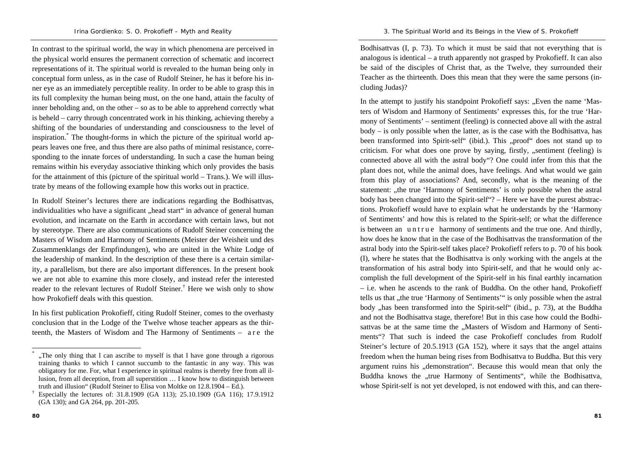In contrast to the spiritual world, the way in which phenomena are perceived in the physical world ensures the permanent correction of schematic and incorrect representations of it. The spiritual world is revealed to the human being only in conceptual form unless, as in the case of Rudolf Steiner, he has it before his inner eye as an immediately perceptible reality. In order to be able to grasp this in its full complexity the human being must, on the one hand, attain the faculty of inner beholding and, on the other – so as to be able to apprehend correctly what is beheld – carry through concentrated work in his thinking, achieving thereby a shifting of the boundaries of understanding and consciousness to the level of inspiration.\* The thought-forms in which the picture of the spiritual world appears leaves one free, and thus there are also paths of minimal resistance, corresponding to the innate forces of understanding. In such a case the human being remains within his everyday associative thinking which only provides the basis for the attainment of this (picture of the spiritual world – Trans.). We will illustrate by means of the following example how this works out in practice.

In Rudolf Steiner's lectures there are indications regarding the Bodhisattvas, individualities who have a significant "head start" in advance of general human evolution, and incarnate on the Earth in accordance with certain laws, but not by stereotype. There are also communications of Rudolf Steiner concerning the Masters of Wisdom and Harmony of Sentiments (Meister der Weisheit und des Zusammenklangs der Empfindungen), who are united in the White Lodge of the leadership of mankind. In the description of these there is a certain similarity, a parallelism, but there are also important differences. In the present book we are not able to examine this more closely, and instead refer the interested reader to the relevant lectures of Rudolf Steiner.† Here we wish only to show how Prokofieff deals with this question.

In his first publication Prokofieff, citing Rudolf Steiner, comes to the overhasty conclusion that in the Lodge of the Twelve whose teacher appears as the thirteenth, the Masters of Wisdom and The Harmony of Sentiments – a r e the

Bodhisattvas (I, p. 73). To which it must be said that not everything that is analogous is identical – a truth apparently not grasped by Prokofieff. It can also be said of the disciples of Christ that, as the Twelve, they surrounded their Teacher as the thirteenth. Does this mean that they were the same persons (including Judas)?

In the attempt to justify his standpoint Prokofieff says: "Even the name 'Masters of Wisdom and Harmony of Sentiments' expresses this, for the true 'Harmony of Sentiments' – sentiment (feeling) is connected above all with the astral body – is only possible when the latter, as is the case with the Bodhisattva, has been transformed into Spirit-self" (ibid.). This "proof" does not stand up to criticism. For what does one prove by saying, firstly, "sentiment (feeling) is connected above all with the astral body"? One could infer from this that the plant does not, while the animal does, have feelings. And what would we gain from this play of associations? And, secondly, what is the meaning of the statement: "the true 'Harmony of Sentiments' is only possible when the astral body has been changed into the Spirit-self"? – Here we have the purest abstractions. Prokofieff would have to explain what he understands by the 'Harmony of Sentiments' and how this is related to the Spirit-self; or what the difference is between an untrue harmony of sentiments and the true one. And thirdly, how does he know that in the case of the Bodhisattvas the transformation of the astral body into the Spirit-self takes place? Prokofieff refers to p. 70 of his book (I), where he states that the Bodhisattva is only working with the angels at the transformation of his astral body into Spirit-self, and that he would only accomplish the full development of the Spirit-self in his final earthly incarnation – i.e. when he ascends to the rank of Buddha. On the other hand, Prokofieff tells us that "the true 'Harmony of Sentiments'" is only possible when the astral body "has been transformed into the Spirit-self" (ibid., p. 73), at the Buddha and not the Bodhisattva stage, therefore! But in this case how could the Bodhisattvas be at the same time the "Masters of Wisdom and Harmony of Sentiments"? That such is indeed the case Prokofieff concludes from Rudolf Steiner's lecture of 20.5.1913 (GA 152), where it says that the angel attains freedom when the human being rises from Bodhisattva to Buddha. But this very argument ruins his "demonstration". Because this would mean that only the Buddha knows the "true Harmony of Sentiments", while the Bodhisattva, whose Spirit-self is not yet developed, is not endowed with this, and can there-

<sup>&</sup>quot;The only thing that I can ascribe to myself is that I have gone through a rigorous" training thanks to which I cannot succumb to the fantastic in any way. This was obligatory for me. For, what I experience in spiritual realms is thereby free from all illusion, from all deception, from all superstition … I know how to distinguish between truth and illusion" (Rudolf Steiner to Elisa von Moltke on 12.8.1904 – Ed.).<br>
Especially the lectures of: 31.8.1909 (GA 113); 25.10.1909 (GA 116); 17.9.1912

<sup>(</sup>GA 130); and GA 264, pp. 201-205.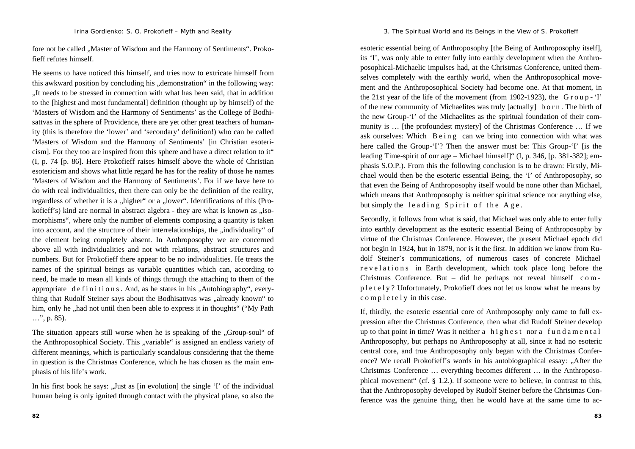fore not be called ... Master of Wisdom and the Harmony of Sentiments". Prokofieff refutes himself.

He seems to have noticed this himself, and tries now to extricate himself from this awkward position by concluding his ..demonstration" in the following way: "It needs to be stressed in connection with what has been said, that in addition to the [highest and most fundamental] definition (thought up by himself) of the 'Masters of Wisdom and the Harmony of Sentiments' as the College of Bodhisattvas in the sphere of Providence, there are yet other great teachers of humanity (this is therefore the 'lower' and 'secondary' definition!) who can be called 'Masters of Wisdom and the Harmony of Sentiments' [in Christian esotericism]. For they too are inspired from this sphere and have a direct relation to it" (I, p. 74 [p. 86]. Here Prokofieff raises himself above the whole of Christian esotericism and shows what little regard he has for the reality of those he names 'Masters of Wisdom and the Harmony of Sentiments'. For if we have here to do with real individualities, then there can only be the definition of the reality, regardless of whether it is a "higher" or a "lower". Identifications of this (Prokofieff's) kind are normal in abstract algebra - they are what is known as  $\mu$ isomorphisms", where only the number of elements composing a quantity is taken into account, and the structure of their interrelationships, the ..individuality of the element being completely absent. In Anthroposophy we are concerned above all with individualities and not with relations, abstract structures and numbers. But for Prokofieff there appear to be no individualities. He treats the names of the spiritual beings as variable quantities which can, according to need, be made to mean all kinds of things through the attaching to them of the appropriate definitions. And, as he states in his "Autobiography", everything that Rudolf Steiner says about the Bodhisattvas was "already known" to him, only he , had not until then been able to express it in thoughts" ("My Path") …", p. 85).

The situation appears still worse when he is speaking of the "Group-soul" of the Anthroposophical Society. This "variable" is assigned an endless variety of different meanings, which is particularly scandalous considering that the theme in question is the Christmas Conference, which he has chosen as the main emphasis of his life's work.

In his first book he says: "Just as  $\lceil$  in evolution] the single 'I' of the individual human being is only ignited through contact with the physical plane, so also the

esoteric essential being of Anthroposophy [the Being of Anthroposophy itself], its 'I', was only able to enter fully into earthly development when the Anthroposophical-Michaelic impulses had, at the Christmas Conference, united themselves completely with the earthly world, when the Anthroposophical movement and the Anthroposophical Society had become one. At that moment, in the 21st year of the life of the movement (from 1902-1923), the  $G \text{ row}$  - 'I' of the new community of Michaelites was truly [actually] b <sup>o</sup> <sup>r</sup> <sup>n</sup> . The birth of the new Group-'I' of the Michaelites as the spiritual foundation of their community is … [the profoundest mystery] of the Christmas Conference … If we ask ourselves: Which B e i n g can we bring into connection with what was here called the Group-'I'? Then the answer must be: This Group-'I' [is the leading Time-spirit of our age – Michael himself]" (I, p. 346, [p. 381-382]; emphasis S.O.P.). From this the following conclusion is to be drawn: Firstly, Michael would then be the esoteric essential Being, the 'I' of Anthroposophy, so that even the Being of Anthroposophy itself would be none other than Michael, which means that Anthroposophy is neither spiritual science nor anything else, but simply the leading Spirit of the Age.

Secondly, it follows from what is said, that Michael was only able to enter fully into earthly development as the esoteric essential Being of Anthroposophy by virtue of the Christmas Conference. However, the present Michael epoch did not begin in 1924, but in 1879, nor is it the first. In addition we know from Rudolf Steiner's communications, of numerous cases of concrete Michael r e v e l a t i o n s in Earth development, which took place long before the Christmas Conference. But – did he perhaps not reveal himself c o m p l <sup>e</sup> <sup>t</sup> <sup>e</sup> l y ? Unfortunately, Prokofieff does not let us know what he means by c o m p l e t e l y in this case.

If, thirdly, the esoteric essential core of Anthroposophy only came to full expression after the Christmas Conference, then what did Rudolf Steiner develop up to that point in time? Was it neither a highest nor a fundamental Anthroposophy, but perhaps no Anthroposophy at all, since it had no esoteric central core, and true Anthroposophy only began with the Christmas Conference? We recall Prokofieff's words in his autobiographical essay: "After the Christmas Conference … everything becomes different … in the Anthroposophical movement" (cf. § 1.2.). If someone were to believe, in contrast to this, that the Anthroposophy developed by Rudolf Steiner before the Christmas Conference was the genuine thing, then he would have at the same time to ac-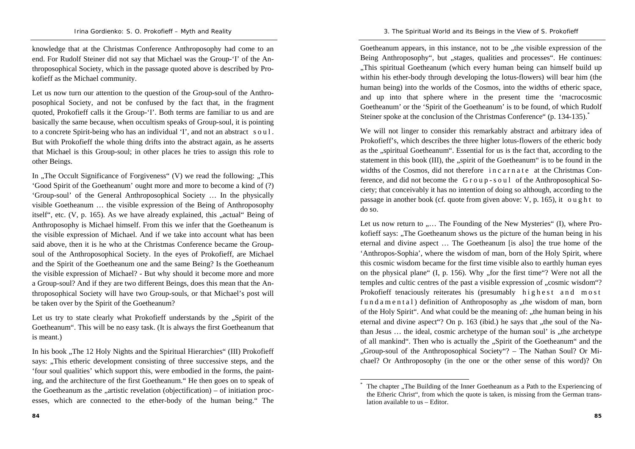knowledge that at the Christmas Conference Anthroposophy had come to an end. For Rudolf Steiner did not say that Michael was the Group-'I' of the Anthroposophical Society, which in the passage quoted above is described by Prokofieff as the Michael community.

Let us now turn our attention to the question of the Group-soul of the Anthroposophical Society, and not be confused by the fact that, in the fragment quoted, Prokofieff calls it the Group-'I'. Both terms are familiar to us and are basically the same because, when occultism speaks of Group-soul, it is pointing to a concrete Spirit-being who has an individual 'I', and not an abstract <sup>s</sup> <sup>o</sup> <sup>u</sup> l . But with Prokofieff the whole thing drifts into the abstract again, as he asserts that Michael is this Group-soul; in other places he tries to assign this role to other Beings.

In  $\Lambda$ The Occult Significance of Forgiveness" (V) we read the following:  $\Lambda$ This 'Good Spirit of the Goetheanum' ought more and more to become a kind of (?) 'Group-soul' of the General Anthroposophical Society … In the physically visible Goetheanum … the visible expression of the Being of Anthroposophy itself", etc.  $(V, p. 165)$ . As we have already explained, this  $n$ -actual Being of Anthroposophy is Michael himself. From this we infer that the Goetheanum is the visible expression of Michael. And if we take into account what has been said above, then it is he who at the Christmas Conference became the Groupsoul of the Anthroposophical Society. In the eyes of Prokofieff, are Michael and the Spirit of the Goetheanum one and the same Being? Is the Goetheanum the visible expression of Michael? - But why should it become more and more a Group-soul? And if they are two different Beings, does this mean that the Anthroposophical Society will have two Group-souls, or that Michael's post will be taken over by the Spirit of the Goetheanum?

Let us try to state clearly what Prokofieff understands by the ...Spirit of the Goetheanum". This will be no easy task. (It is always the first Goetheanum that is meant.)

In his book "The 12 Holy Nights and the Spiritual Hierarchies" (III) Prokofieff says: "This etheric development consisting of three successive steps, and the 'four soul qualities' which support this, were embodied in the forms, the painting, and the architecture of the first Goetheanum." He then goes on to speak of the Goetheanum as the  $\alpha$ -artistic revelation (objectification) – of initiation processes, which are connected to the ether-body of the human being." The

Goetheanum appears, in this instance, not to be "the visible expression of the Being Anthroposophy", but "stages, qualities and processes". He continues: "This spiritual Goetheanum (which every human being can himself build up within his ether-body through developing the lotus-flowers) will bear him (the human being) into the worlds of the Cosmos, into the widths of etheric space, and up into that sphere where in the present time the 'macrocosmic Goetheanum' or the 'Spirit of the Goetheanum' is to be found, of which Rudolf Steiner spoke at the conclusion of the Christmas Conference" (p. 134-135).<sup>\*</sup>

We will not linger to consider this remarkably abstract and arbitrary idea of Prokofieff's, which describes the three higher lotus-flowers of the etheric body as the "spiritual Goetheanum". Essential for us is the fact that, according to the statement in this book  $(III)$ , the  $,$ spirit of the Goetheanum" is to be found in the widths of the Cosmos, did not therefore in c a r n a t e at the Christmas Conference, and did not become the G <sup>r</sup> <sup>o</sup> <sup>u</sup> p - <sup>s</sup> <sup>o</sup> <sup>u</sup> l of the Anthroposophical Society; that conceivably it has no intention of doing so although, according to the passage in another book (cf. quote from given above: V, p. 165), it <sup>o</sup> <sup>u</sup> g h <sup>t</sup> to do so.

Let us now return to  $, \ldots$  The Founding of the New Mysteries" (I), where Prokofieff says: "The Goetheanum shows us the picture of the human being in his eternal and divine aspect … The Goetheanum [is also] the true home of the 'Anthropos-Sophia', where the wisdom of man, born of the Holy Spirit, where this cosmic wisdom became for the first time visible also to earthly human eyes on the physical plane"  $(I, p. 156)$ . Why "for the first time"? Were not all the temples and cultic centres of the past a visible expression of "cosmic wisdom"? Prokofieff tenaciously reiterates his (presumably highest and most f u n d a m e n t a l ) definition of Anthroposophy as  $($ the wisdom of man, born of the Holy Spirit". And what could be the meaning of: "the human being in his eternal and divine aspect. On p. 163 (ibid.) he says that  $n$ , the soul of the Nathan Jesus  $\ldots$  the ideal, cosmic archetype of the human soul' is  $\ldots$  the archetype of all mankind". Then who is actually the "Spirit of the Goetheanum" and the "Group-soul of the Anthroposophical Society"? – The Nathan Soul? Or Michael? Or Anthroposophy (in the one or the other sense of this word)? On

The chapter . The Building of the Inner Goetheanum as a Path to the Experiencing of the Etheric Christ", from which the quote is taken, is missing from the German translation available to us – Editor.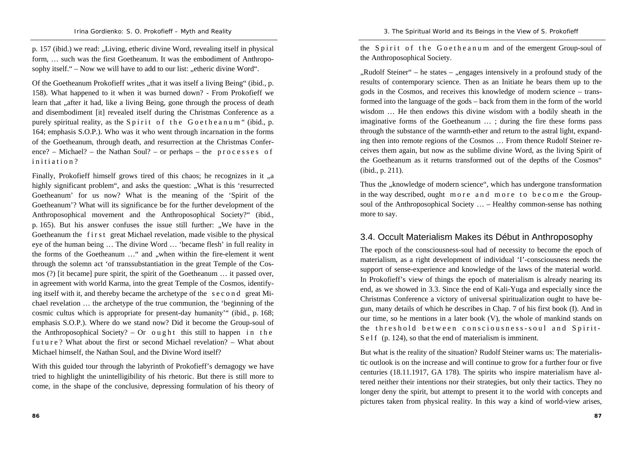p. 157 (ibid.) we read: "Living, etheric divine Word, revealing itself in physical form, … such was the first Goetheanum. It was the embodiment of Anthroposophy itself."  $-$  Now we will have to add to our list: "etheric divine Word".

Of the Goetheanum Prokofieff writes ..that it was itself a living Being" (ibid., p. 158). What happened to it when it was burned down? - From Prokofieff we learn that , after it had, like a living Being, gone through the process of death and disembodiment [it] revealed itself during the Christmas Conference as a purely spiritual reality, as the Spirit of the Goetheanum " (ibid., p. 164; emphasis S.O.P.). Who was it who went through incarnation in the forms of the Goetheanum, through death, and resurrection at the Christmas Conference? – Michael? – the Nathan Soul? – or perhaps – the processes of initiation?

Finally, Prokofieff himself grows tired of this chaos; he recognizes in it ..a highly significant problem", and asks the question: "What is this 'resurrected Goetheanum' for us now? What is the meaning of the 'Spirit of the Goetheanum'? What will its significance be for the further development of the Anthroposophical movement and the Anthroposophical Society?" (ibid., p. 165). But his answer confuses the issue still further: "We have in the Goetheanum the first great Michael revelation, made visible to the physical eye of the human being … The divine Word … 'became flesh' in full reality in the forms of the Goetheanum ... " and , when within the fire-element it went through the solemn act 'of transsubstantiation in the great Temple of the Cosmos (?) [it became] pure spirit, the spirit of the Goetheanum … it passed over, in agreement with world Karma, into the great Temple of the Cosmos, identifying itself with it, and thereby became the archetype of the <sup>s</sup> <sup>e</sup> <sup>c</sup> <sup>o</sup> <sup>n</sup> d great Michael revelation … the archetype of the true communion, the 'beginning of the cosmic cultus which is appropriate for present-day humanity'" (ibid., p. 168; emphasis S.O.P.). Where do we stand now? Did it become the Group-soul of the Anthroposophical Society? – Or ought this still to happen in the future? What about the first or second Michael revelation? – What about Michael himself, the Nathan Soul, and the Divine Word itself?

With this guided tour through the labyrinth of Prokofieff's demagogy we have tried to highlight the unintelligibility of his rhetoric. But there is still more to come, in the shape of the conclusive, depressing formulation of his theory of

**86**

the Spirit of the Goetheanum and of the emergent Group-soul of the Anthroposophical Society.

 $Rudolf Steiner"$  – he states –  $Rugages$  intensively in a profound study of the results of contemporary science. Then as an Initiate he bears them up to the gods in the Cosmos, and receives this knowledge of modern science – transformed into the language of the gods – back from them in the form of the world wisdom … He then endows this divine wisdom with a bodily sheath in the imaginative forms of the Goetheanum … ; during the fire these forms pass through the substance of the warmth-ether and return to the astral light, expanding then into remote regions of the Cosmos … From thence Rudolf Steiner receives them again, but now as the sublime divine Word, as the living Spirit of the Goetheanum as it returns transformed out of the depths of the Cosmos" (ibid., p. 211).

Thus the "knowledge of modern science", which has undergone transformation in the way described, ought more and more to become the Groupsoul of the Anthroposophical Society … – Healthy common-sense has nothing more to say.

### 3.4. Occult Materialism Makes its Début in Anthroposophy

The epoch of the consciousness-soul had of necessity to become the epoch of materialism, as a right development of individual 'I'-consciousness needs the support of sense-experience and knowledge of the laws of the material world. In Prokofieff's view of things the epoch of materialism is already nearing its end, as we showed in 3.3. Since the end of Kali-Yuga and especially since the Christmas Conference a victory of universal spiritualization ought to have begun, many details of which he describes in Chap. 7 of his first book (I). And in our time, so he mentions in a later book (V), the whole of mankind stands on the threshold between consciousness–soul and Spirit- $S$  e l f (p. 124), so that the end of materialism is imminent.

But what is the reality of the situation? Rudolf Steiner warns us: The materialistic outlook is on the increase and will continue to grow for a further four or five centuries (18.11.1917, GA 178). The spirits who inspire materialism have altered neither their intentions nor their strategies, but only their tactics. They no longer deny the spirit, but attempt to present it to the world with concepts and pictures taken from physical reality. In this way a kind of world-view arises,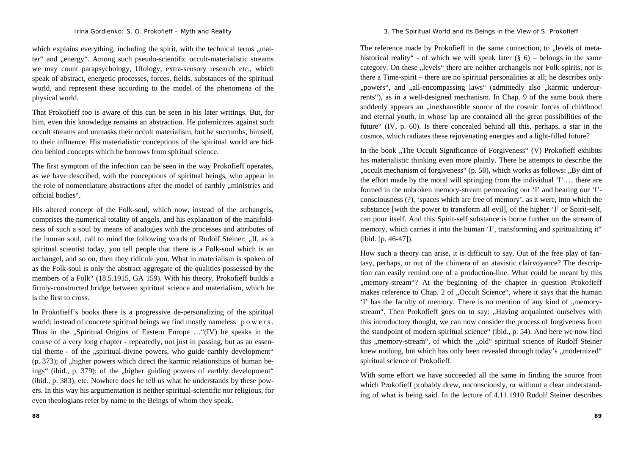which explains everything, including the spirit, with the technical terms ...matter" and "energy". Among such pseudo-scientific occult-materialistic streams we may count parapsychology, Ufology, extra-sensory research etc., which speak of abstract, energetic processes, forces, fields, substances of the spiritual world, and represent these according to the model of the phenomena of the physical world.

That Prokofieff too is aware of this can be seen in his later writings. But, for him, even this knowledge remains an abstraction. He polemicizes against such occult streams and unmasks their occult materialism, but he succumbs, himself, to their influence. His materialistic conceptions of the spiritual world are hidden behind concepts which he borrows from spiritual science.

The first symptom of the infection can be seen in the way Prokofieff operates, as we have described, with the conceptions of spiritual beings, who appear in the role of nomenclature abstractions after the model of earthly "ministries and official bodies".

His altered concept of the Folk-soul, which now, instead of the archangels, comprises the numerical totality of angels, and his explanation of the manifoldness of such a soul by means of analogies with the processes and attributes of the human soul, call to mind the following words of Rudolf Steiner: "If, as a spiritual scientist today, you tell people that there is a Folk-soul which is an archangel, and so on, then they ridicule you. What in materialism is spoken of as the Folk-soul is only the abstract aggregate of the qualities possessed by the members of a Folk" (18.5.1915, GA 159). With his theory, Prokofieff builds a firmly-constructed bridge between spiritual science and materialism, which he is the first to cross.

In Prokofieff's books there is a progressive de-personalizing of the spiritual world; instead of concrete spiritual beings we find mostly nameless powers. Thus in the "Spiritual Origins of Eastern Europe  $\ldots$  "(IV) he speaks in the course of a very long chapter - repeatedly, not just in passing, but as an essential theme - of the "spiritual-divine powers, who guide earthly development"  $(p. 373)$ ; of ,,higher powers which direct the karmic relationships of human beings" (ibid., p. 379); of the "higher guiding powers of earthly development" (ibid., p. 383), etc. Nowhere does he tell us what he understands by these powers. In this way his argumentation is neither spiritual-scientific nor religious, for even theologians refer by name to the Beings of whom they speak.

The reference made by Prokofieff in the same connection, to ... levels of metahistorical reality" - of which we will speak later  $(\S 6)$  – belongs in the same category. On these "levels" there are neither archangels nor Folk-spirits, nor is there a Time-spirit – there are no spiritual personalities at all; he describes only "powers", and "all-encompassing laws" (admittedly also "karmic undercurrents"), as in a well-designed mechanism. In Chap. 9 of the same book there suddenly appears an "inexhaustible source of the cosmic forces of childhood and eternal youth, in whose lap are contained all the great possibilities of the future" (IV, p. 60). Is there concealed behind all this, perhaps, a star in the cosmos, which radiates these rejuvenating energies and a light-filled future?

In the book "The Occult Significance of Forgiveness" (V) Prokofieff exhibits his materialistic thinking even more plainly. There he attempts to describe the "occult mechanism of forgiveness" (p. 58), which works as follows: "By dint of the effort made by the moral will springing from the individual 'I' … there are formed in the unbroken memory-stream permeating our 'I' and bearing our 'I' consciousness (?), 'spaces which are free of memory', as it were, into which the substance [with the power to transform all evil], of the higher 'I' or Spirit-self, can pour itself. And this Spirit-self substance is borne further on the stream of memory, which carries it into the human 'I', transforming and spiritualizing it" (ibid. [p. 46-47]).

How such a theory can arise, it is difficult to say. Out of the free play of fantasy, perhaps, or out of the chimera of an atavistic clairvoyance? The description can easily remind one of a production-line. What could be meant by this ", memory-stream"? At the beginning of the chapter in question Prokofieff makes reference to Chap. 2 of "Occult Science", where it says that the human 'I' has the faculty of memory. There is no mention of any kind of  $\ldots$  memorystream". Then Prokofieff goes on to say: "Having acquainted ourselves with this introductory thought, we can now consider the process of forgiveness from the standpoint of modern spiritual science" (ibid., p. 54). And here we now find this "memory-stream", of which the "old" spiritual science of Rudolf Steiner knew nothing, but which has only been revealed through today's ,,modernized" spiritual science of Prokofieff.

With some effort we have succeeded all the same in finding the source from which Prokofieff probably drew, unconsciously, or without a clear understanding of what is being said. In the lecture of 4.11.1910 Rudolf Steiner describes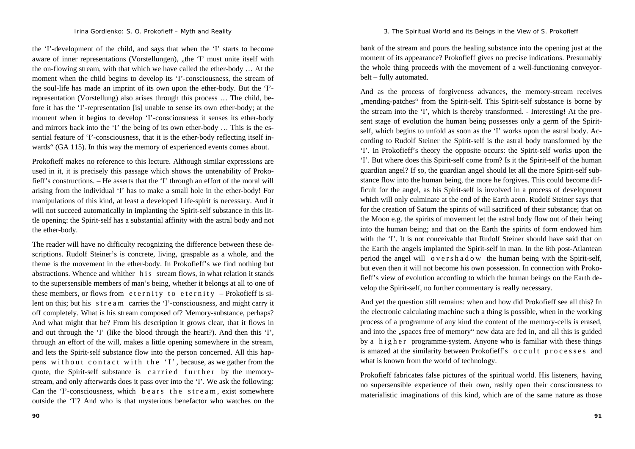the 'I'-development of the child, and says that when the 'I' starts to become aware of inner representations (Vorstellungen), "the 'I' must unite itself with the on-flowing stream, with that which we have called the ether-body … At the moment when the child begins to develop its 'I'-consciousness, the stream of the soul-life has made an imprint of its own upon the ether-body. But the 'I' representation (Vorstellung) also arises through this process … The child, before it has the 'I'-representation [is] unable to sense its own ether-body; at the moment when it begins to develop 'I'-consciousness it senses its ether-body and mirrors back into the 'I' the being of its own ether-body … This is the essential feature of 'I'-consciousness, that it is the ether-body reflecting itself inwards" (GA 115). In this way the memory of experienced events comes about.

Prokofieff makes no reference to this lecture. Although similar expressions are used in it, it is precisely this passage which shows the untenability of Prokofieff's constructions. – He asserts that the 'I' through an effort of the moral will arising from the individual 'I' has to make a small hole in the ether-body! For manipulations of this kind, at least a developed Life-spirit is necessary. And it will not succeed automatically in implanting the Spirit-self substance in this little opening: the Spirit-self has a substantial affinity with the astral body and not the ether-body.

The reader will have no difficulty recognizing the difference between these descriptions. Rudolf Steiner's is concrete, living, graspable as a whole, and the theme is the movement in the ether-body. In Prokofieff's we find nothing but abstractions. Whence and whither h is stream flows, in what relation it stands to the supersensible members of man's being, whether it belongs at all to one of these members, or flows from eternity to eternity - Prokofieff is silent on this; but his <sup>s</sup> <sup>t</sup> <sup>r</sup> <sup>e</sup> <sup>a</sup> <sup>m</sup> carries the 'I'-consciousness, and might carry it off completely. What is his stream composed of? Memory-substance, perhaps? And what might that be? From his description it grows clear, that it flows in and out through the 'I' (like the blood through the heart?). And then this 'I', through an effort of the will, makes a little opening somewhere in the stream, and lets the Spirit-self substance flow into the person concerned. All this happens without contact with the 'I', because, as we gather from the quote, the Spirit-self substance is carried further by the memorystream, and only afterwards does it pass over into the 'I'. We ask the following: Can the 'I'-consciousness, which bears the stream, exist somewhere outside the 'I'? And who is that mysterious benefactor who watches on the bank of the stream and pours the healing substance into the opening just at the moment of its appearance? Prokofieff gives no precise indications. Presumably the whole thing proceeds with the movement of a well-functioning conveyorbelt – fully automated.

And as the process of forgiveness advances, the memory-stream receives ., mending-patches" from the Spirit-self. This Spirit-self substance is borne by the stream into the 'I', which is thereby transformed. - Interesting! At the present stage of evolution the human being possesses only a germ of the Spiritself, which begins to unfold as soon as the 'I' works upon the astral body. According to Rudolf Steiner the Spirit-self is the astral body transformed by the 'I'. In Prokofieff's theory the opposite occurs: the Spirit-self works upon the 'I'. But where does this Spirit-self come from? Is it the Spirit-self of the human guardian angel? If so, the guardian angel should let all the more Spirit-self substance flow into the human being, the more he forgives. This could become difficult for the angel, as his Spirit-self is involved in a process of development which will only culminate at the end of the Earth aeon. Rudolf Steiner says that for the creation of Saturn the spirits of will sacrificed of their substance; that on the Moon e.g. the spirits of movement let the astral body flow out of their being into the human being; and that on the Earth the spirits of form endowed him with the 'I'. It is not conceivable that Rudolf Steiner should have said that on the Earth the angels implanted the Spirit-self in man. In the 6th post-Atlantean period the angel will <sup>o</sup> <sup>v</sup> <sup>e</sup> <sup>r</sup> <sup>s</sup> h <sup>a</sup> d <sup>o</sup> <sup>w</sup> the human being with the Spirit-self, but even then it will not become his own possession. In connection with Prokofieff's view of evolution according to which the human beings on the Earth develop the Spirit-self, no further commentary is really necessary.

And yet the question still remains: when and how did Prokofieff see all this? In the electronic calculating machine such a thing is possible, when in the working process of a programme of any kind the content of the memory-cells is erased, and into the "spaces free of memory" new data are fed in, and all this is guided by a higher programme-system. Anyone who is familiar with these things is amazed at the similarity between Prokofieff's occult processes and what is known from the world of technology.

Prokofieff fabricates false pictures of the spiritual world. His listeners, having no supersensible experience of their own, rashly open their consciousness to materialistic imaginations of this kind, which are of the same nature as those